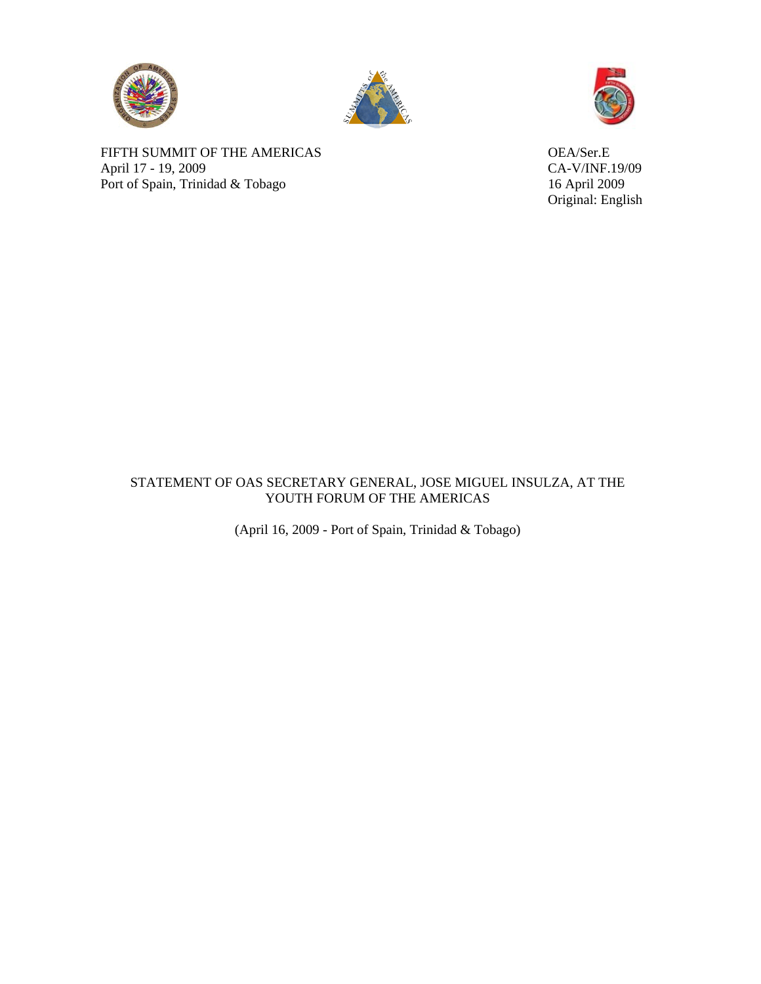





Original: English

FIFTH SUMMIT OF THE AMERICAS OEA/Ser.E April 17 - 19, 2009<br>
Port of Spain, Trinidad & Tobago<br>
16 April 2009 Port of Spain, Trinidad & Tobago

## STATEMENT OF OAS SECRETARY GENERAL, JOSE MIGUEL INSULZA, AT THE YOUTH FORUM OF THE AMERICAS

(April 16, 2009 - Port of Spain, Trinidad & Tobago)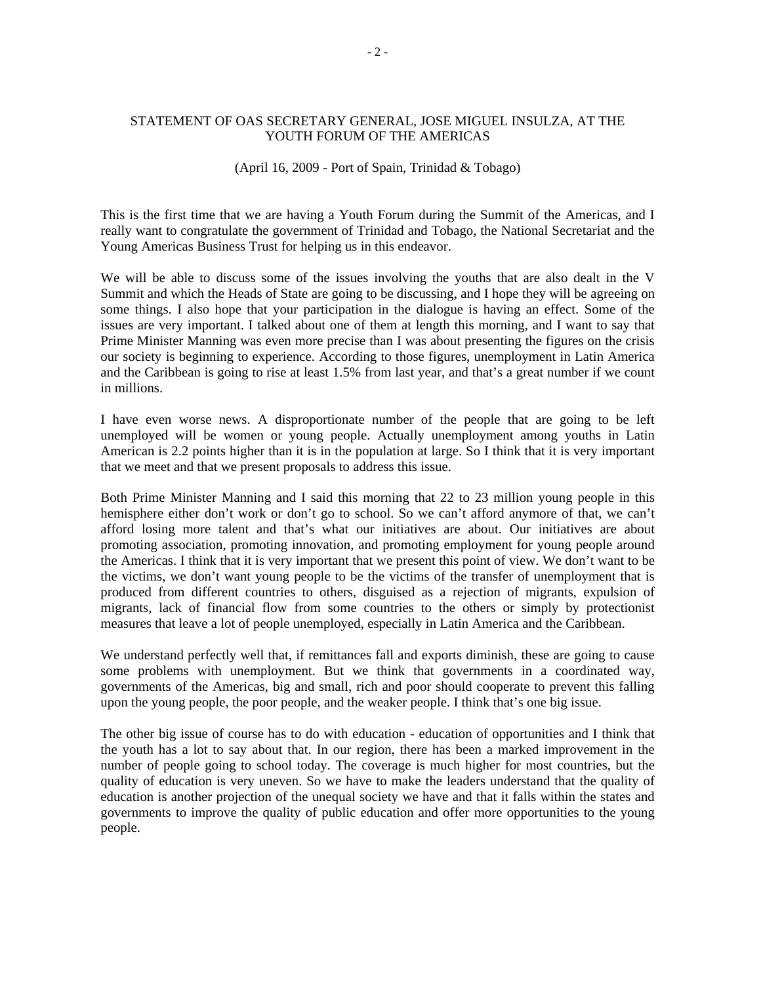## STATEMENT OF OAS SECRETARY GENERAL, JOSE MIGUEL INSULZA, AT THE YOUTH FORUM OF THE AMERICAS

## (April 16, 2009 - Port of Spain, Trinidad & Tobago)

This is the first time that we are having a Youth Forum during the Summit of the Americas, and I really want to congratulate the government of Trinidad and Tobago, the National Secretariat and the Young Americas Business Trust for helping us in this endeavor.

We will be able to discuss some of the issues involving the youths that are also dealt in the V Summit and which the Heads of State are going to be discussing, and I hope they will be agreeing on some things. I also hope that your participation in the dialogue is having an effect. Some of the issues are very important. I talked about one of them at length this morning, and I want to say that Prime Minister Manning was even more precise than I was about presenting the figures on the crisis our society is beginning to experience. According to those figures, unemployment in Latin America and the Caribbean is going to rise at least 1.5% from last year, and that's a great number if we count in millions.

I have even worse news. A disproportionate number of the people that are going to be left unemployed will be women or young people. Actually unemployment among youths in Latin American is 2.2 points higher than it is in the population at large. So I think that it is very important that we meet and that we present proposals to address this issue.

Both Prime Minister Manning and I said this morning that 22 to 23 million young people in this hemisphere either don't work or don't go to school. So we can't afford anymore of that, we can't afford losing more talent and that's what our initiatives are about. Our initiatives are about promoting association, promoting innovation, and promoting employment for young people around the Americas. I think that it is very important that we present this point of view. We don't want to be the victims, we don't want young people to be the victims of the transfer of unemployment that is produced from different countries to others, disguised as a rejection of migrants, expulsion of migrants, lack of financial flow from some countries to the others or simply by protectionist measures that leave a lot of people unemployed, especially in Latin America and the Caribbean.

We understand perfectly well that, if remittances fall and exports diminish, these are going to cause some problems with unemployment. But we think that governments in a coordinated way, governments of the Americas, big and small, rich and poor should cooperate to prevent this falling upon the young people, the poor people, and the weaker people. I think that's one big issue.

The other big issue of course has to do with education - education of opportunities and I think that the youth has a lot to say about that. In our region, there has been a marked improvement in the number of people going to school today. The coverage is much higher for most countries, but the quality of education is very uneven. So we have to make the leaders understand that the quality of education is another projection of the unequal society we have and that it falls within the states and governments to improve the quality of public education and offer more opportunities to the young people.